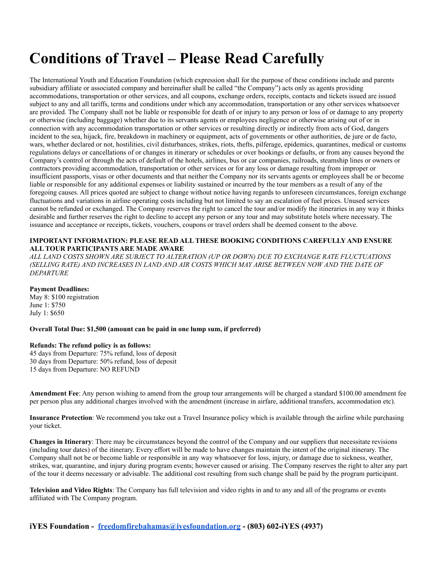# **Conditions of Travel – Please Read Carefully**

The International Youth and Education Foundation (which expression shall for the purpose of these conditions include and parents subsidiary affiliate or associated company and hereinafter shall be called "the Company") acts only as agents providing accommodations, transportation or other services, and all coupons, exchange orders, receipts, contacts and tickets issued are issued subject to any and all tariffs, terms and conditions under which any accommodation, transportation or any other services whatsoever are provided. The Company shall not be liable or responsible for death of or injury to any person or loss of or damage to any property or otherwise (including baggage) whether due to its servants agents or employees negligence or otherwise arising out of or in connection with any accommodation transportation or other services or resulting directly or indirectly from acts of God, dangers incident to the sea, hijack, fire, breakdown in machinery or equipment, acts of governments or other authorities, de jure or de facto, wars, whether declared or not, hostilities, civil disturbances, strikes, riots, thefts, pilferage, epidemics, quarantines, medical or customs regulations delays or cancellations of or changes in itinerary or schedules or over bookings or defaults, or from any causes beyond the Company's control or through the acts of default of the hotels, airlines, bus or car companies, railroads, steamship lines or owners or contractors providing accommodation, transportation or other services or for any loss or damage resulting from improper or insufficient passports, visas or other documents and that neither the Company nor its servants agents or employees shall be or become liable or responsible for any additional expenses or liability sustained or incurred by the tour members as a result of any of the foregoing causes. All prices quoted are subject to change without notice having regards to unforeseen circumstances, foreign exchange fluctuations and variations in airline operating costs including but not limited to say an escalation of fuel prices. Unused services cannot be refunded or exchanged. The Company reserves the right to cancel the tour and/or modify the itineraries in any way it thinks desirable and further reserves the right to decline to accept any person or any tour and may substitute hotels where necessary. The issuance and acceptance or receipts, tickets, vouchers, coupons or travel orders shall be deemed consent to the above.

#### **IMPORTANT INFORMATION: PLEASE READ ALL THESE BOOKING CONDITIONS CAREFULLY AND ENSURE ALL TOUR PARTICIPANTS ARE MADE AWARE**

*ALL LAND COSTS SHOWN ARE SUBJECT TO ALTERATION (UP OR DOWN) DUE TO EXCHANGE RATE FLUCTUATIONS (SELLING RATE) AND INCREASES IN LAND AND AIR COSTS WHICH MAY ARISE BETWEEN NOW AND THE DATE OF DEPARTURE*

#### **Payment Deadlines:**

May 8: \$100 registration June 1: \$750 July 1: \$650

**Overall Total Due: \$1,500 (amount can be paid in one lump sum, if preferred)**

#### **Refunds: The refund policy is as follows:**

45 days from Departure: 75% refund, loss of deposit 30 days from Departure: 50% refund, loss of deposit 15 days from Departure: NO REFUND

**Amendment Fee**: Any person wishing to amend from the group tour arrangements will be charged a standard \$100.00 amendment fee per person plus any additional charges involved with the amendment (increase in airfare, additional transfers, accommodation etc).

**Insurance Protection**: We recommend you take out a Travel Insurance policy which is available through the airline while purchasing your ticket.

**Changes in Itinerary**: There may be circumstances beyond the control of the Company and our suppliers that necessitate revisions (including tour dates) of the itinerary. Every effort will be made to have changes maintain the intent of the original itinerary. The Company shall not be or become liable or responsible in any way whatsoever for loss, injury, or damage due to sickness, weather, strikes, war, quarantine, and injury during program events; however caused or arising. The Company reserves the right to alter any part of the tour it deems necessary or advisable. The additional cost resulting from such change shall be paid by the program participant.

**Television and Video Rights**: The Company has full television and video rights in and to any and all of the programs or events affiliated with The Company program.

**iYES Foundation - [freedomfirebahamas@iyesfoundation.org](mailto:info@iyesfoundation.org) - (803) 602-iYES (4937)**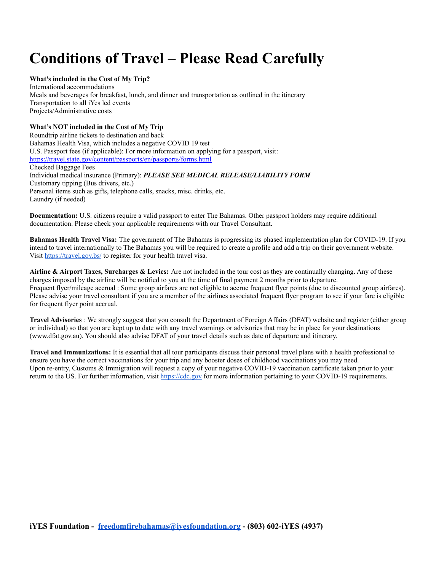# **Conditions of Travel – Please Read Carefully**

#### **What's included in the Cost of My Trip?**

International accommodations Meals and beverages for breakfast, lunch, and dinner and transportation as outlined in the itinerary Transportation to all iYes led events Projects/Administrative costs

#### **What's NOT included in the Cost of My Trip**

Roundtrip airline tickets to destination and back Bahamas Health Visa, which includes a negative COVID 19 test U.S. Passport fees (if applicable): For more information on applying for a passport, visit: <https://travel.state.gov/content/passports/en/passports/forms.html> Checked Baggage Fees Individual medical insurance (Primary): *PLEASE SEE MEDICAL RELEASE/LIABILITY FORM* Customary tipping (Bus drivers, etc.) Personal items such as gifts, telephone calls, snacks, misc. drinks, etc. Laundry (if needed)

**Documentation:** U.S. citizens require a valid passport to enter The Bahamas. Other passport holders may require additional documentation. Please check your applicable requirements with our Travel Consultant.

**Bahamas Health Travel Visa:** The government of The Bahamas is progressing its phased implementation plan for COVID-19. If you intend to travel internationally to The Bahamas you will be required to create a profile and add a trip on their government website. Visit <https://travel.gov.bs/> to register for your health travel visa.

**Airline & Airport Taxes, Surcharges & Levies:** Are not included in the tour cost as they are continually changing. Any of these charges imposed by the airline will be notified to you at the time of final payment 2 months prior to departure. Frequent flyer/mileage accrual : Some group airfares are not eligible to accrue frequent flyer points (due to discounted group airfares). Please advise your travel consultant if you are a member of the airlines associated frequent flyer program to see if your fare is eligible for frequent flyer point accrual.

**Travel Advisories** : We strongly suggest that you consult the Department of Foreign Affairs (DFAT) website and register (either group or individual) so that you are kept up to date with any travel warnings or advisories that may be in place for your destinations (www.dfat.gov.au). You should also advise DFAT of your travel details such as date of departure and itinerary.

**Travel and Immunizations:** It is essential that all tour participants discuss their personal travel plans with a health professional to ensure you have the correct vaccinations for your trip and any booster doses of childhood vaccinations you may need. Upon re-entry, Customs & Immigration will request a copy of your negative COVID-19 vaccination certificate taken prior to your return to the US. For further information, visit <https://cdc.gov> for more information pertaining to your COVID-19 requirements.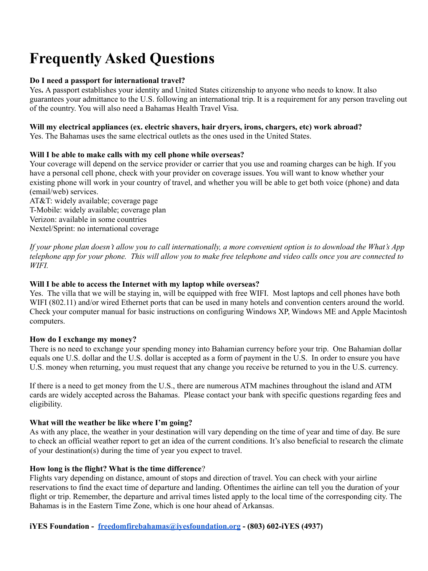# **Frequently Asked Questions**

## **Do I need a passport for international travel?**

Yes**.** A passport establishes your identity and United States citizenship to anyone who needs to know. It also guarantees your admittance to the U.S. following an international trip. It is a requirement for any person traveling out of the country. You will also need a Bahamas Health Travel Visa.

### **Will my electrical appliances (ex. electric shavers, hair dryers, irons, chargers, etc) work abroad?**

Yes. The Bahamas uses the same electrical outlets as the ones used in the United States.

## **Will I be able to make calls with my cell phone while overseas?**

Your coverage will depend on the service provider or carrier that you use and roaming charges can be high. If you have a personal cell phone, check with your provider on coverage issues. You will want to know whether your existing phone will work in your country of travel, and whether you will be able to get both voice (phone) and data (email/web) services.

AT&T: widely available; coverage page T-Mobile: widely available; coverage plan Verizon: available in some countries Nextel/Sprint: no international coverage

If your phone plan doesn't allow you to call internationally, a more convenient option is to download the What's App telephone app for your phone. This will allow you to make free telephone and video calls once you are connected to *WIFI.*

## **Will I be able to access the Internet with my laptop while overseas?**

Yes. The villa that we will be staying in, will be equipped with free WIFI. Most laptops and cell phones have both WIFI (802.11) and/or wired Ethernet ports that can be used in many hotels and convention centers around the world. Check your computer manual for basic instructions on configuring Windows XP, Windows ME and Apple Macintosh computers.

#### **How do I exchange my money?**

There is no need to exchange your spending money into Bahamian currency before your trip. One Bahamian dollar equals one U.S. dollar and the U.S. dollar is accepted as a form of payment in the U.S. In order to ensure you have U.S. money when returning, you must request that any change you receive be returned to you in the U.S. currency.

If there is a need to get money from the U.S., there are numerous ATM machines throughout the island and ATM cards are widely accepted across the Bahamas. Please contact your bank with specific questions regarding fees and eligibility.

## **What will the weather be like where I'm going?**

As with any place, the weather in your destination will vary depending on the time of year and time of day. Be sure to check an official weather report to get an idea of the current conditions. It's also beneficial to research the climate of your destination(s) during the time of year you expect to travel.

## **How long is the flight? What is the time difference**?

Flights vary depending on distance, amount of stops and direction of travel. You can check with your airline reservations to find the exact time of departure and landing. Oftentimes the airline can tell you the duration of your flight or trip. Remember, the departure and arrival times listed apply to the local time of the corresponding city. The Bahamas is in the Eastern Time Zone, which is one hour ahead of Arkansas.

## **iYES Foundation - [freedomfirebahamas@iyesfoundation.org](mailto:info@iyesfoundation.org) - (803) 602-iYES (4937)**